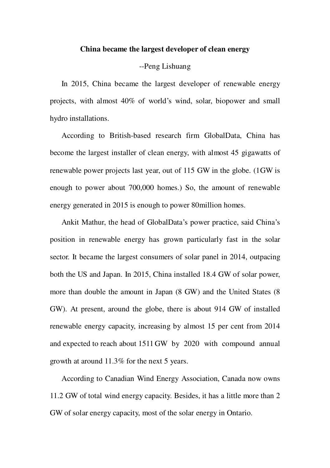## **China became the largest developer of clean energy**

## --Peng Lishuang

In 2015, China became the largest developer of renewable energy projects, with almost 40% of world's wind, solar, biopower and small hydro installations.

According to British-based research firm GlobalData, China has become the largest installer of clean energy, with almost 45 gigawatts of renewable power projects last year, out of 115 GW in the globe. (1GW is enough to power about 700,000 homes.) So, the amount of renewable energy generated in 2015 is enough to power 80million homes.

Ankit Mathur, the head of GlobalData's power practice, said China's position in renewable energy has grown particularly fast in the solar sector. It became the largest consumers of solar panel in 2014, outpacing both the US and Japan. In 2015, China installed 18.4 GW of solar power, more than double the amount in Japan (8 GW) and the United States (8 GW). At present, around the globe, there is about 914 GW of installed renewable energy capacity, increasing by almost 15 per cent from 2014 and expected to reach about 1511 GW by 2020 with compound annual growth at around 11.3% for the next 5 years.

According to Canadian Wind Energy Association, Canada now owns 11.2 GW of total wind energy capacity. Besides, it has a little more than 2 GW of solar energy capacity, most of the solar energy in Ontario.